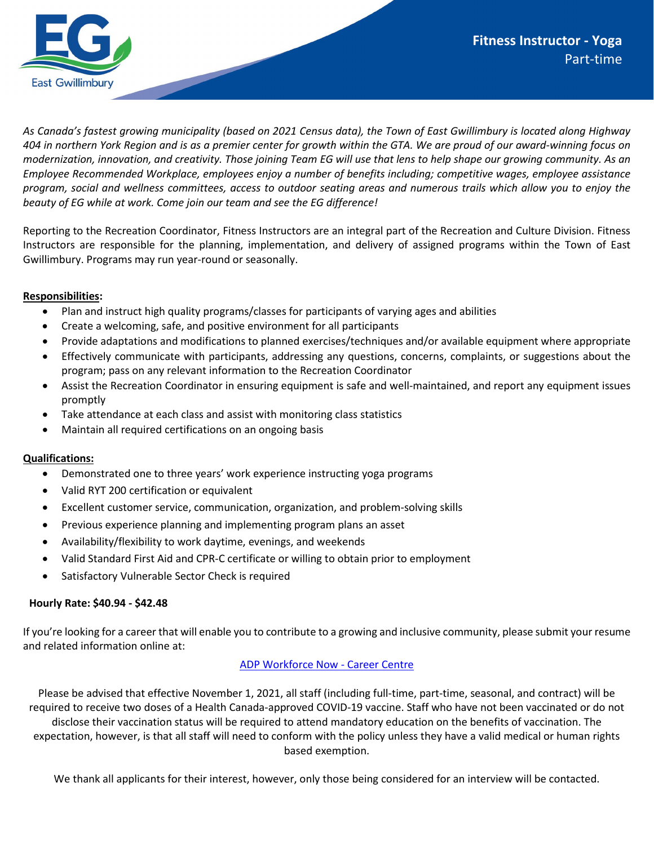

*As Canada's fastest growing municipality (based on 2021 Census data), the Town of East Gwillimbury is located along Highway 404 in northern York Region and is as a premier center for growth within the GTA. We are proud of our award-winning focus on modernization, innovation, and creativity. Those joining Team EG will use that lens to help shape our growing community. As an Employee Recommended Workplace, employees enjoy a number of benefits including; competitive wages, employee assistance program, social and wellness committees, access to outdoor seating areas and numerous trails which allow you to enjoy the beauty of EG while at work. Come join our team and see the EG difference!* 

Reporting to the Recreation Coordinator, Fitness Instructors are an integral part of the Recreation and Culture Division. Fitness Instructors are responsible for the planning, implementation, and delivery of assigned programs within the Town of East Gwillimbury. Programs may run year-round or seasonally.

## **Responsibilities:**

- Plan and instruct high quality programs/classes for participants of varying ages and abilities
- Create a welcoming, safe, and positive environment for all participants
- Provide adaptations and modifications to planned exercises/techniques and/or available equipment where appropriate
- Effectively communicate with participants, addressing any questions, concerns, complaints, or suggestions about the program; pass on any relevant information to the Recreation Coordinator
- Assist the Recreation Coordinator in ensuring equipment is safe and well-maintained, and report any equipment issues promptly
- Take attendance at each class and assist with monitoring class statistics
- Maintain all required certifications on an ongoing basis

## **Qualifications:**

- Demonstrated one to three years' work experience instructing yoga programs
- Valid RYT 200 certification or equivalent
- Excellent customer service, communication, organization, and problem-solving skills
- Previous experience planning and implementing program plans an asset
- Availability/flexibility to work daytime, evenings, and weekends
- Valid Standard First Aid and CPR-C certificate or willing to obtain prior to employment
- Satisfactory Vulnerable Sector Check is required

## **Hourly Rate: \$40.94 - \$42.48**

If you're looking for a career that will enable you to contribute to a growing and inclusive community, please submit your resume and related information online at:

## [ADP Workforce Now -](https://workforcenow.adp.com/mascsr/default/mdf/recruitment/recruitment.html?cid=f5060f66-1f92-430e-b67b-c5e16cd9318f&ccId=19000101_000001&type=JS&lang=en_CA) Career Centre

Please be advised that effective November 1, 2021, all staff (including full-time, part-time, seasonal, and contract) will be required to receive two doses of a Health Canada-approved COVID-19 vaccine. Staff who have not been vaccinated or do not disclose their vaccination status will be required to attend mandatory education on the benefits of vaccination. The expectation, however, is that all staff will need to conform with the policy unless they have a valid medical or human rights based exemption.

We thank all applicants for their interest, however, only those being considered for an interview will be contacted.